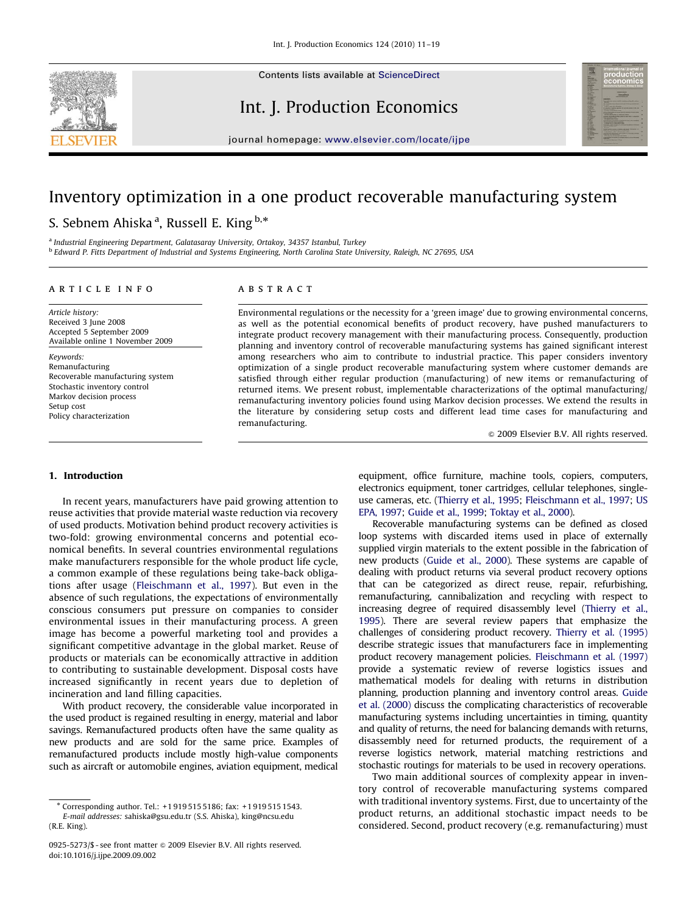

Contents lists available at ScienceDirect

### Int. J. Production Economics



journal homepage: <www.elsevier.com/locate/ijpe>

### Inventory optimization in a one product recoverable manufacturing system

## S. Sebnem Ahiska <sup>a</sup>, Russell E. King <sup>b,\*</sup>

<sup>a</sup> Industrial Engineering Department, Galatasaray University, Ortakoy, 34357 Istanbul, Turkey <sup>b</sup> Edward P. Fitts Department of Industrial and Systems Engineering, North Carolina State University, Raleigh, NC 27695, USA

#### article info

Article history: Received 3 June 2008 Accepted 5 September 2009 Available online 1 November 2009

Keywords: Remanufacturing Recoverable manufacturing system Stochastic inventory control Markov decision process Setup cost Policy characterization

### ABSTRACT

Environmental regulations or the necessity for a 'green image' due to growing environmental concerns, as well as the potential economical benefits of product recovery, have pushed manufacturers to integrate product recovery management with their manufacturing process. Consequently, production planning and inventory control of recoverable manufacturing systems has gained significant interest among researchers who aim to contribute to industrial practice. This paper considers inventory optimization of a single product recoverable manufacturing system where customer demands are satisfied through either regular production (manufacturing) of new items or remanufacturing of returned items. We present robust, implementable characterizations of the optimal manufacturing/ remanufacturing inventory policies found using Markov decision processes. We extend the results in the literature by considering setup costs and different lead time cases for manufacturing and remanufacturing.

 $\odot$  2009 Elsevier B.V. All rights reserved.

#### 1. Introduction

In recent years, manufacturers have paid growing attention to reuse activities that provide material waste reduction via recovery of used products. Motivation behind product recovery activities is two-fold: growing environmental concerns and potential economical benefits. In several countries environmental regulations make manufacturers responsible for the whole product life cycle, a common example of these regulations being take-back obligations after usage ([Fleischmann et al., 1997](#page--1-0)). But even in the absence of such regulations, the expectations of environmentally conscious consumers put pressure on companies to consider environmental issues in their manufacturing process. A green image has become a powerful marketing tool and provides a significant competitive advantage in the global market. Reuse of products or materials can be economically attractive in addition to contributing to sustainable development. Disposal costs have increased significantly in recent years due to depletion of incineration and land filling capacities.

With product recovery, the considerable value incorporated in the used product is regained resulting in energy, material and labor savings. Remanufactured products often have the same quality as new products and are sold for the same price. Examples of remanufactured products include mostly high-value components such as aircraft or automobile engines, aviation equipment, medical equipment, office furniture, machine tools, copiers, computers, electronics equipment, toner cartridges, cellular telephones, singleuse cameras, etc. [\(Thierry et al., 1995;](#page--1-0) [Fleischmann et al., 1997;](#page--1-0) [US](#page--1-0) [EPA, 1997;](#page--1-0) [Guide et al., 1999](#page--1-0); [Toktay et al., 2000](#page--1-0)).

Recoverable manufacturing systems can be defined as closed loop systems with discarded items used in place of externally supplied virgin materials to the extent possible in the fabrication of new products ([Guide et al., 2000](#page--1-0)). These systems are capable of dealing with product returns via several product recovery options that can be categorized as direct reuse, repair, refurbishing, remanufacturing, cannibalization and recycling with respect to increasing degree of required disassembly level [\(Thierry et al.,](#page--1-0) [1995](#page--1-0)). There are several review papers that emphasize the challenges of considering product recovery. [Thierry et al. \(1995\)](#page--1-0) describe strategic issues that manufacturers face in implementing product recovery management policies. [Fleischmann et al. \(1997\)](#page--1-0) provide a systematic review of reverse logistics issues and mathematical models for dealing with returns in distribution planning, production planning and inventory control areas. [Guide](#page--1-0) [et al. \(2000\)](#page--1-0) discuss the complicating characteristics of recoverable manufacturing systems including uncertainties in timing, quantity and quality of returns, the need for balancing demands with returns, disassembly need for returned products, the requirement of a reverse logistics network, material matching restrictions and stochastic routings for materials to be used in recovery operations.

Two main additional sources of complexity appear in inventory control of recoverable manufacturing systems compared with traditional inventory systems. First, due to uncertainty of the product returns, an additional stochastic impact needs to be considered. Second, product recovery (e.g. remanufacturing) must

<sup>-</sup> Corresponding author. Tel.: +1 919 515 5186; fax: +1 919 515 1543. E-mail addresses: [sahiska@gsu.edu.tr \(S.S. Ahiska\)](mailto:sahiska@gsu.edu.tr), [king@ncsu.edu](mailto:king@ncsu.edu)

[<sup>\(</sup>R.E. King\)](mailto:king@ncsu.edu).

<sup>0925-5273/\$ -</sup> see front matter @ 2009 Elsevier B.V. All rights reserved. doi:[10.1016/j.ijpe.2009.09.002](dx.doi.org/10.1016/j.ijpe.2009.09.002)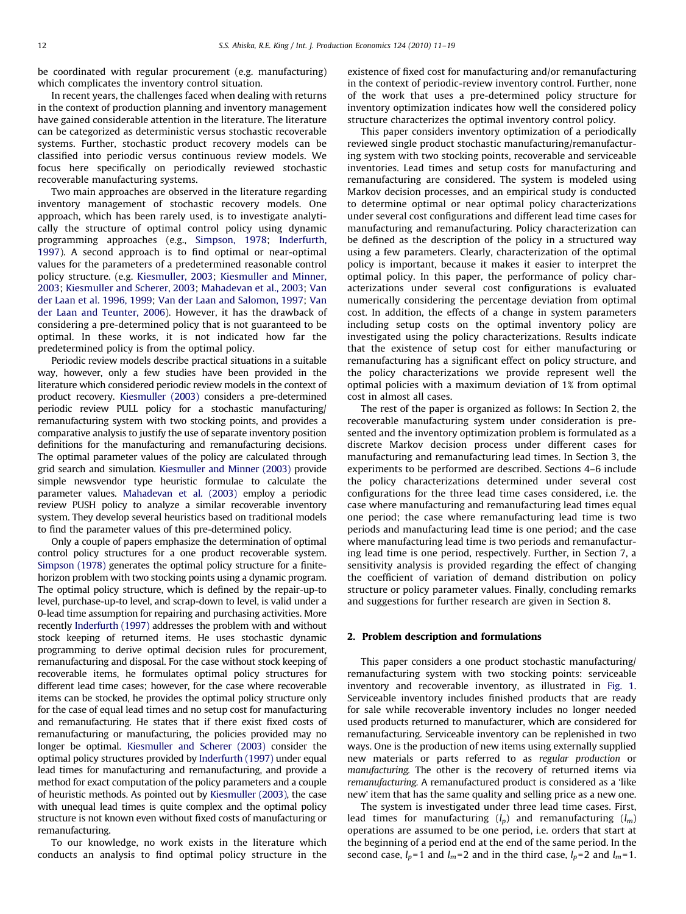be coordinated with regular procurement (e.g. manufacturing) which complicates the inventory control situation.

In recent years, the challenges faced when dealing with returns in the context of production planning and inventory management have gained considerable attention in the literature. The literature can be categorized as deterministic versus stochastic recoverable systems. Further, stochastic product recovery models can be classified into periodic versus continuous review models. We focus here specifically on periodically reviewed stochastic recoverable manufacturing systems.

Two main approaches are observed in the literature regarding inventory management of stochastic recovery models. One approach, which has been rarely used, is to investigate analytically the structure of optimal control policy using dynamic programming approaches (e.g., [Simpson, 1978;](#page--1-0) [Inderfurth,](#page--1-0) [1997](#page--1-0)). A second approach is to find optimal or near-optimal values for the parameters of a predetermined reasonable control policy structure. (e.g. [Kiesmuller, 2003;](#page--1-0) [Kiesmuller and Minner,](#page--1-0) [2003;](#page--1-0) [Kiesmuller and Scherer, 2003](#page--1-0); [Mahadevan et al., 2003;](#page--1-0) [Van](#page--1-0) [der Laan et al. 1996, 1999](#page--1-0); [Van der Laan and Salomon, 1997;](#page--1-0) [Van](#page--1-0) [der Laan and Teunter, 2006](#page--1-0)). However, it has the drawback of considering a pre-determined policy that is not guaranteed to be optimal. In these works, it is not indicated how far the predetermined policy is from the optimal policy.

Periodic review models describe practical situations in a suitable way, however, only a few studies have been provided in the literature which considered periodic review models in the context of product recovery. [Kiesmuller \(2003\)](#page--1-0) considers a pre-determined periodic review PULL policy for a stochastic manufacturing/ remanufacturing system with two stocking points, and provides a comparative analysis to justify the use of separate inventory position definitions for the manufacturing and remanufacturing decisions. The optimal parameter values of the policy are calculated through grid search and simulation. [Kiesmuller and Minner \(2003\)](#page--1-0) provide simple newsvendor type heuristic formulae to calculate the parameter values. [Mahadevan et al. \(2003\)](#page--1-0) employ a periodic review PUSH policy to analyze a similar recoverable inventory system. They develop several heuristics based on traditional models to find the parameter values of this pre-determined policy.

Only a couple of papers emphasize the determination of optimal control policy structures for a one product recoverable system. [Simpson \(1978\)](#page--1-0) generates the optimal policy structure for a finitehorizon problem with two stocking points using a dynamic program. The optimal policy structure, which is defined by the repair-up-to level, purchase-up-to level, and scrap-down to level, is valid under a 0-lead time assumption for repairing and purchasing activities. More recently [Inderfurth \(1997\)](#page--1-0) addresses the problem with and without stock keeping of returned items. He uses stochastic dynamic programming to derive optimal decision rules for procurement, remanufacturing and disposal. For the case without stock keeping of recoverable items, he formulates optimal policy structures for different lead time cases; however, for the case where recoverable items can be stocked, he provides the optimal policy structure only for the case of equal lead times and no setup cost for manufacturing and remanufacturing. He states that if there exist fixed costs of remanufacturing or manufacturing, the policies provided may no longer be optimal. [Kiesmuller and Scherer \(2003\)](#page--1-0) consider the optimal policy structures provided by [Inderfurth \(1997\)](#page--1-0) under equal lead times for manufacturing and remanufacturing, and provide a method for exact computation of the policy parameters and a couple of heuristic methods. As pointed out by [Kiesmuller \(2003\)](#page--1-0), the case with unequal lead times is quite complex and the optimal policy structure is not known even without fixed costs of manufacturing or remanufacturing.

To our knowledge, no work exists in the literature which conducts an analysis to find optimal policy structure in the existence of fixed cost for manufacturing and/or remanufacturing in the context of periodic-review inventory control. Further, none of the work that uses a pre-determined policy structure for inventory optimization indicates how well the considered policy structure characterizes the optimal inventory control policy.

This paper considers inventory optimization of a periodically reviewed single product stochastic manufacturing/remanufacturing system with two stocking points, recoverable and serviceable inventories. Lead times and setup costs for manufacturing and remanufacturing are considered. The system is modeled using Markov decision processes, and an empirical study is conducted to determine optimal or near optimal policy characterizations under several cost configurations and different lead time cases for manufacturing and remanufacturing. Policy characterization can be defined as the description of the policy in a structured way using a few parameters. Clearly, characterization of the optimal policy is important, because it makes it easier to interpret the optimal policy. In this paper, the performance of policy characterizations under several cost configurations is evaluated numerically considering the percentage deviation from optimal cost. In addition, the effects of a change in system parameters including setup costs on the optimal inventory policy are investigated using the policy characterizations. Results indicate that the existence of setup cost for either manufacturing or remanufacturing has a significant effect on policy structure, and the policy characterizations we provide represent well the optimal policies with a maximum deviation of 1% from optimal cost in almost all cases.

The rest of the paper is organized as follows: In Section 2, the recoverable manufacturing system under consideration is presented and the inventory optimization problem is formulated as a discrete Markov decision process under different cases for manufacturing and remanufacturing lead times. In Section 3, the experiments to be performed are described. Sections 4–6 include the policy characterizations determined under several cost configurations for the three lead time cases considered, i.e. the case where manufacturing and remanufacturing lead times equal one period; the case where remanufacturing lead time is two periods and manufacturing lead time is one period; and the case where manufacturing lead time is two periods and remanufacturing lead time is one period, respectively. Further, in Section 7, a sensitivity analysis is provided regarding the effect of changing the coefficient of variation of demand distribution on policy structure or policy parameter values. Finally, concluding remarks and suggestions for further research are given in Section 8.

#### 2. Problem description and formulations

This paper considers a one product stochastic manufacturing/ remanufacturing system with two stocking points: serviceable inventory and recoverable inventory, as illustrated in [Fig. 1.](#page--1-0) Serviceable inventory includes finished products that are ready for sale while recoverable inventory includes no longer needed used products returned to manufacturer, which are considered for remanufacturing. Serviceable inventory can be replenished in two ways. One is the production of new items using externally supplied new materials or parts referred to as regular production or manufacturing. The other is the recovery of returned items via remanufacturing. A remanufactured product is considered as a 'like new' item that has the same quality and selling price as a new one.

The system is investigated under three lead time cases. First, lead times for manufacturing  $(l_p)$  and remanufacturing  $(l_m)$ operations are assumed to be one period, i.e. orders that start at the beginning of a period end at the end of the same period. In the second case,  $l_p=1$  and  $l_m=2$  and in the third case,  $l_p=2$  and  $l_m=1$ .